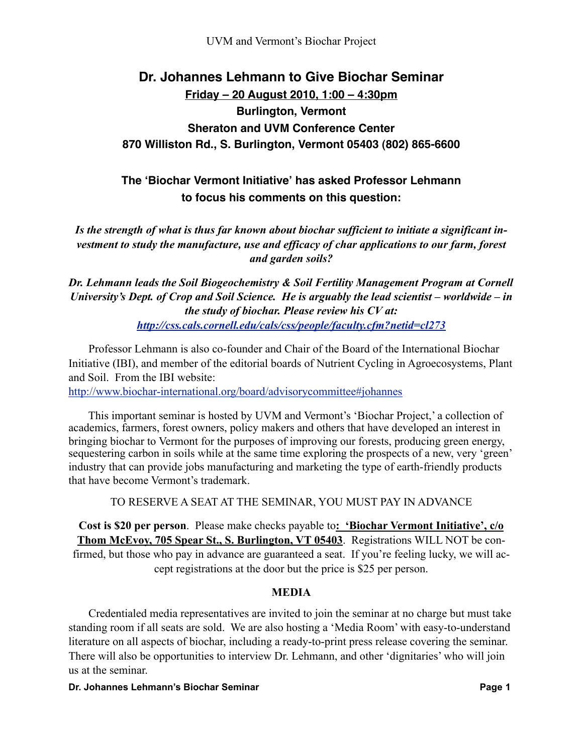# **Dr. Johannes Lehmann to Give Biochar Seminar Friday – 20 August 2010, 1:00 – 4:30pm Burlington, Vermont Sheraton and UVM Conference Center 870 Williston Rd., S. Burlington, Vermont 05403 (802) 865-6600**

## **The ʻBiochar Vermont Initiative' has asked Professor Lehmann to focus his comments on this question:**

*Is the strength of what is thus far known about biochar sufficient to initiate a significant investment to study the manufacture, use and efficacy of char applications to our farm, forest and garden soils?*

*Dr. Lehmann leads the Soil Biogeochemistry & Soil Fertility Management Program at Cornell University's Dept. of Crop and Soil Science. He is arguably the lead scientist – worldwide – in the study of biochar. Please review his CV at: <http://css.cals.cornell.edu/cals/css/people/faculty.cfm?netid=cl273>*

 Professor Lehmann is also co-founder and Chair of the Board of the International Biochar Initiative (IBI), and member of the editorial boards of Nutrient Cycling in Agroecosystems, Plant and Soil. From the IBI website:

[http://www.biochar-international.org/board/advisorycommittee#johannes](http://www.biochar-international.org/board/advisorycommittee%22%20%5Cl%20%22johannes)

 This important seminar is hosted by UVM and Vermont's 'Biochar Project,' a collection of academics, farmers, forest owners, policy makers and others that have developed an interest in bringing biochar to Vermont for the purposes of improving our forests, producing green energy, sequestering carbon in soils while at the same time exploring the prospects of a new, very 'green' industry that can provide jobs manufacturing and marketing the type of earth-friendly products that have become Vermont's trademark.

TO RESERVE A SEAT AT THE SEMINAR, YOU MUST PAY IN ADVANCE

**Cost is \$20 per person**. Please make checks payable to**: 'Biochar Vermont Initiative', c/o Thom McEvoy, 705 Spear St., S. Burlington, VT 05403**. Registrations WILL NOT be confirmed, but those who pay in advance are guaranteed a seat. If you're feeling lucky, we will accept registrations at the door but the price is \$25 per person.

### **MEDIA**

 Credentialed media representatives are invited to join the seminar at no charge but must take standing room if all seats are sold. We are also hosting a 'Media Room' with easy-to-understand literature on all aspects of biochar, including a ready-to-print press release covering the seminar. There will also be opportunities to interview Dr. Lehmann, and other 'dignitaries' who will join us at the seminar.

#### **Dr. Johannes Lehmann's Biochar Seminar Page 1 Page 1**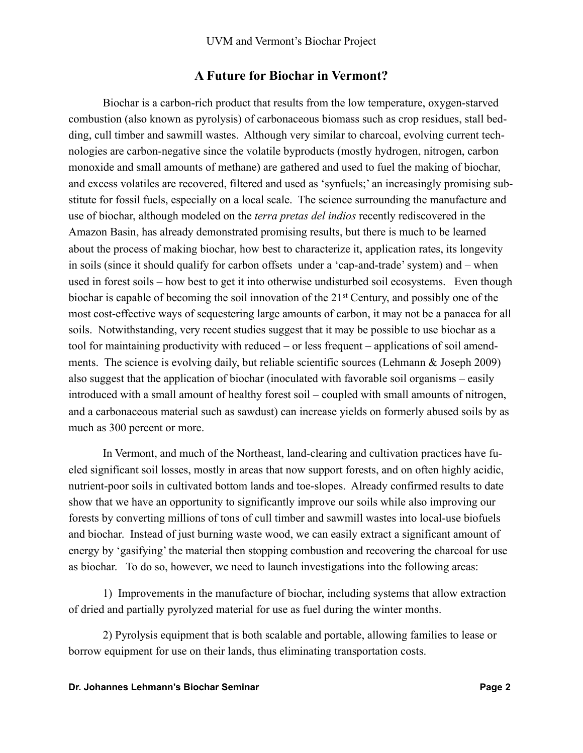### **A Future for Biochar in Vermont?**

Biochar is a carbon-rich product that results from the low temperature, oxygen-starved combustion (also known as pyrolysis) of carbonaceous biomass such as crop residues, stall bedding, cull timber and sawmill wastes. Although very similar to charcoal, evolving current technologies are carbon-negative since the volatile byproducts (mostly hydrogen, nitrogen, carbon monoxide and small amounts of methane) are gathered and used to fuel the making of biochar, and excess volatiles are recovered, filtered and used as 'synfuels;' an increasingly promising substitute for fossil fuels, especially on a local scale. The science surrounding the manufacture and use of biochar, although modeled on the *terra pretas del indios* recently rediscovered in the Amazon Basin, has already demonstrated promising results, but there is much to be learned about the process of making biochar, how best to characterize it, application rates, its longevity in soils (since it should qualify for carbon offsets under a 'cap-and-trade' system) and – when used in forest soils – how best to get it into otherwise undisturbed soil ecosystems. Even though biochar is capable of becoming the soil innovation of the 21st Century, and possibly one of the most cost-effective ways of sequestering large amounts of carbon, it may not be a panacea for all soils. Notwithstanding, very recent studies suggest that it may be possible to use biochar as a tool for maintaining productivity with reduced – or less frequent – applications of soil amendments. The science is evolving daily, but reliable scientific sources (Lehmann & Joseph 2009) also suggest that the application of biochar (inoculated with favorable soil organisms – easily introduced with a small amount of healthy forest soil – coupled with small amounts of nitrogen, and a carbonaceous material such as sawdust) can increase yields on formerly abused soils by as much as 300 percent or more.

In Vermont, and much of the Northeast, land-clearing and cultivation practices have fueled significant soil losses, mostly in areas that now support forests, and on often highly acidic, nutrient-poor soils in cultivated bottom lands and toe-slopes. Already confirmed results to date show that we have an opportunity to significantly improve our soils while also improving our forests by converting millions of tons of cull timber and sawmill wastes into local-use biofuels and biochar. Instead of just burning waste wood, we can easily extract a significant amount of energy by 'gasifying' the material then stopping combustion and recovering the charcoal for use as biochar. To do so, however, we need to launch investigations into the following areas:

1) Improvements in the manufacture of biochar, including systems that allow extraction of dried and partially pyrolyzed material for use as fuel during the winter months.

2) Pyrolysis equipment that is both scalable and portable, allowing families to lease or borrow equipment for use on their lands, thus eliminating transportation costs.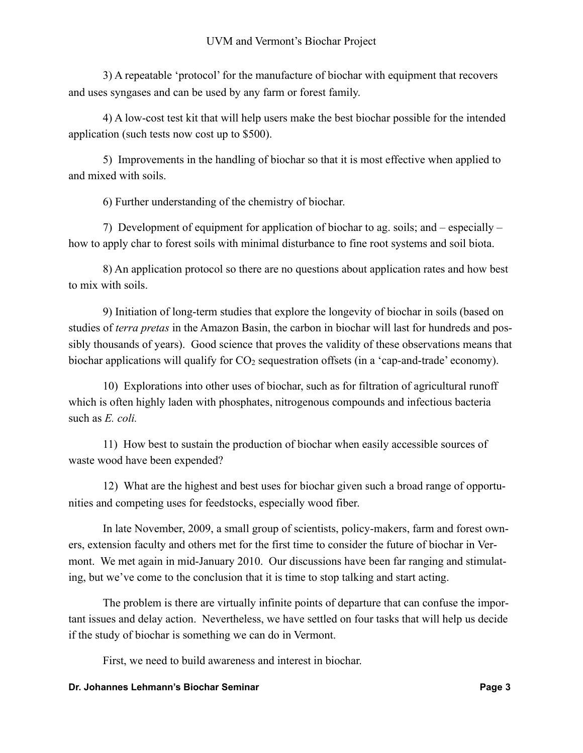3) A repeatable 'protocol' for the manufacture of biochar with equipment that recovers and uses syngases and can be used by any farm or forest family.

4) A low-cost test kit that will help users make the best biochar possible for the intended application (such tests now cost up to \$500).

5) Improvements in the handling of biochar so that it is most effective when applied to and mixed with soils.

6) Further understanding of the chemistry of biochar.

7) Development of equipment for application of biochar to ag. soils; and – especially – how to apply char to forest soils with minimal disturbance to fine root systems and soil biota.

8) An application protocol so there are no questions about application rates and how best to mix with soils.

9) Initiation of long-term studies that explore the longevity of biochar in soils (based on studies of *terra pretas* in the Amazon Basin, the carbon in biochar will last for hundreds and possibly thousands of years). Good science that proves the validity of these observations means that biochar applications will qualify for CO<sub>2</sub> sequestration offsets (in a 'cap-and-trade' economy).

10) Explorations into other uses of biochar, such as for filtration of agricultural runoff which is often highly laden with phosphates, nitrogenous compounds and infectious bacteria such as *E. coli.*

11) How best to sustain the production of biochar when easily accessible sources of waste wood have been expended?

12) What are the highest and best uses for biochar given such a broad range of opportunities and competing uses for feedstocks, especially wood fiber.

In late November, 2009, a small group of scientists, policy-makers, farm and forest owners, extension faculty and others met for the first time to consider the future of biochar in Vermont. We met again in mid-January 2010. Our discussions have been far ranging and stimulating, but we've come to the conclusion that it is time to stop talking and start acting.

The problem is there are virtually infinite points of departure that can confuse the important issues and delay action. Nevertheless, we have settled on four tasks that will help us decide if the study of biochar is something we can do in Vermont.

First, we need to build awareness and interest in biochar.

#### **Dr. Johannes Lehmann's Biochar Seminar Page 3 Page 3**